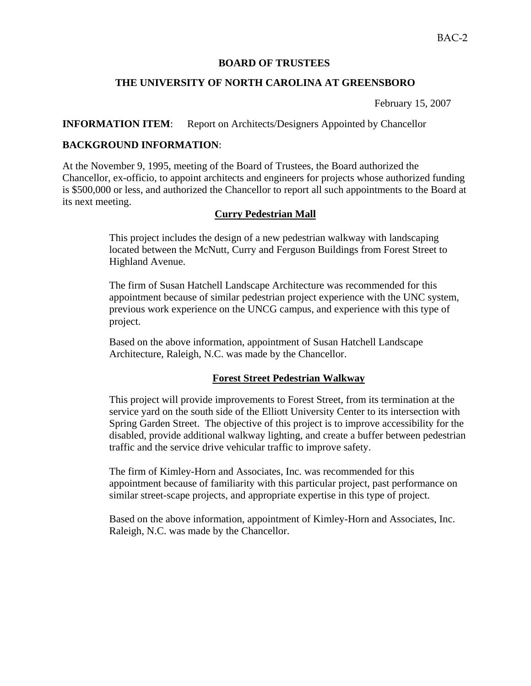# **BOARD OF TRUSTEES**

## **THE UNIVERSITY OF NORTH CAROLINA AT GREENSBORO**

February 15, 2007

#### **INFORMATION ITEM:** Report on Architects/Designers Appointed by Chancellor

### **BACKGROUND INFORMATION**:

At the November 9, 1995, meeting of the Board of Trustees, the Board authorized the Chancellor, ex-officio, to appoint architects and engineers for projects whose authorized funding is \$500,000 or less, and authorized the Chancellor to report all such appointments to the Board at its next meeting.

### **Curry Pedestrian Mall**

This project includes the design of a new pedestrian walkway with landscaping located between the McNutt, Curry and Ferguson Buildings from Forest Street to Highland Avenue.

The firm of Susan Hatchell Landscape Architecture was recommended for this appointment because of similar pedestrian project experience with the UNC system, previous work experience on the UNCG campus, and experience with this type of project.

Based on the above information, appointment of Susan Hatchell Landscape Architecture, Raleigh, N.C. was made by the Chancellor.

#### **Forest Street Pedestrian Walkway**

This project will provide improvements to Forest Street, from its termination at the service yard on the south side of the Elliott University Center to its intersection with Spring Garden Street. The objective of this project is to improve accessibility for the disabled, provide additional walkway lighting, and create a buffer between pedestrian traffic and the service drive vehicular traffic to improve safety.

The firm of Kimley-Horn and Associates, Inc. was recommended for this appointment because of familiarity with this particular project, past performance on similar street-scape projects, and appropriate expertise in this type of project.

Based on the above information, appointment of Kimley-Horn and Associates, Inc. Raleigh, N.C. was made by the Chancellor.